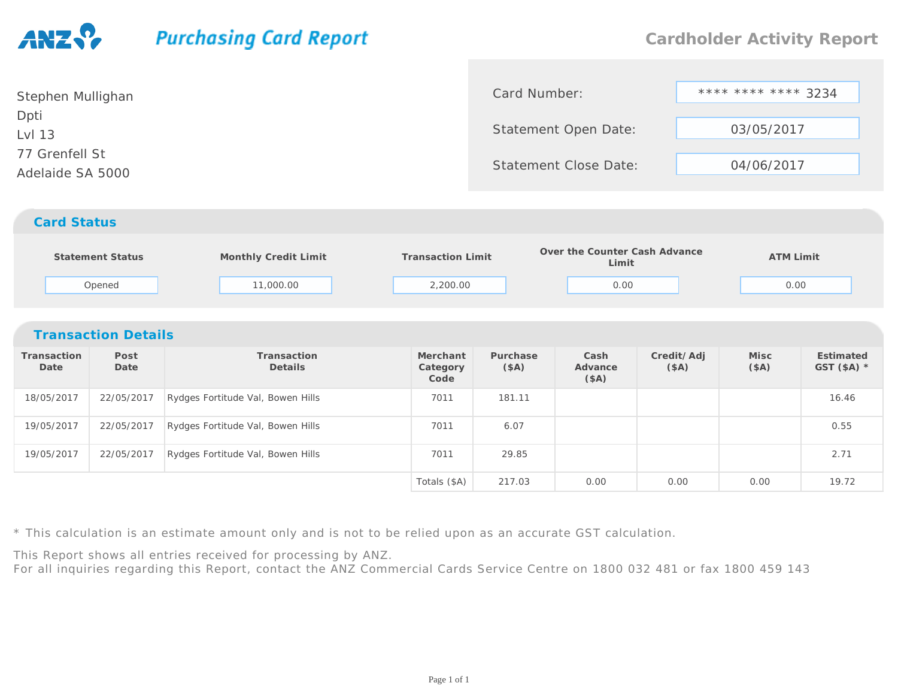## **Purchasing Card Report**

| Stephen Mullighan                  | Card Number:                 | **** **** **** 3234 |
|------------------------------------|------------------------------|---------------------|
| Dpti<br>Lvl 13                     | Statement Open Date:         | 03/05/2017          |
| 77 Grenfell St<br>Adelaide SA 5000 | <b>Statement Close Date:</b> | 04/06/2017          |
| <b>Card Status</b>                 |                              |                     |

## **Statement Status Monthly Credit Limit Transaction Limit Over the Counter Cash Advance Limit ATM Limit** Opened 11,000.002,200.00 0.00 0.00

| <b>Transaction Details</b> |              |                                   |                              |                  |                          |                    |               |                           |  |  |  |
|----------------------------|--------------|-----------------------------------|------------------------------|------------------|--------------------------|--------------------|---------------|---------------------------|--|--|--|
| Transaction<br>Date        | Post<br>Date | Transaction<br><b>Details</b>     | Merchant<br>Category<br>Code | Purchase<br>(SA) | Cash<br>Advance<br>(\$A) | Credit/Adj<br>(SA) | Misc<br>(\$A) | Estimated<br>GST $(SA)$ * |  |  |  |
| 18/05/2017                 | 22/05/2017   | Rydges Fortitude Val, Bowen Hills | 7011                         | 181.11           |                          |                    |               | 16.46                     |  |  |  |
| 19/05/2017                 | 22/05/2017   | Rydges Fortitude Val, Bowen Hills | 7011                         | 6.07             |                          |                    |               | 0.55                      |  |  |  |
| 19/05/2017                 | 22/05/2017   | Rydges Fortitude Val, Bowen Hills | 7011                         | 29.85            |                          |                    |               | 2.71                      |  |  |  |
|                            |              |                                   | Totals (\$A)                 | 217.03           | 0.00                     | 0.00               | 0.00          | 19.72                     |  |  |  |

\* This calculation is an estimate amount only and is not to be relied upon as an accurate GST calculation.

This Report shows all entries received for processing by ANZ.

For all inquiries regarding this Report, contact the ANZ Commercial Cards Service Centre on 1800 032 481 or fax 1800 459 143